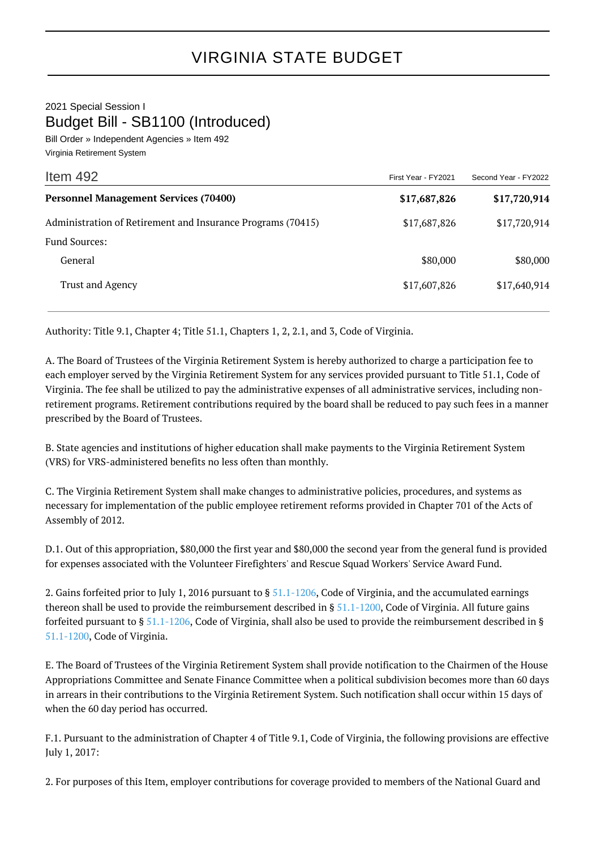2021 Special Session I Budget Bill - SB1100 (Introduced)

Bill Order » Independent Agencies » Item 492 Virginia Retirement System

| Item 492                                                    | First Year - FY2021 | Second Year - FY2022 |
|-------------------------------------------------------------|---------------------|----------------------|
| <b>Personnel Management Services (70400)</b>                | \$17,687,826        | \$17,720,914         |
| Administration of Retirement and Insurance Programs (70415) | \$17,687,826        | \$17,720,914         |
| <b>Fund Sources:</b>                                        |                     |                      |
| General                                                     | \$80,000            | \$80,000             |
| Trust and Agency                                            | \$17,607,826        | \$17,640,914         |

Authority: Title 9.1, Chapter 4; Title 51.1, Chapters 1, 2, 2.1, and 3, Code of Virginia.

A. The Board of Trustees of the Virginia Retirement System is hereby authorized to charge a participation fee to each employer served by the Virginia Retirement System for any services provided pursuant to Title 51.1, Code of Virginia. The fee shall be utilized to pay the administrative expenses of all administrative services, including nonretirement programs. Retirement contributions required by the board shall be reduced to pay such fees in a manner prescribed by the Board of Trustees.

B. State agencies and institutions of higher education shall make payments to the Virginia Retirement System (VRS) for VRS-administered benefits no less often than monthly.

C. The Virginia Retirement System shall make changes to administrative policies, procedures, and systems as necessary for implementation of the public employee retirement reforms provided in Chapter 701 of the Acts of Assembly of 2012.

D.1. Out of this appropriation, \$80,000 the first year and \$80,000 the second year from the general fund is provided for expenses associated with the Volunteer Firefighters' and Rescue Squad Workers' Service Award Fund.

2. Gains forfeited prior to July 1, 2016 pursuant to  $\S 51.1 - 1206$ , Code of Virginia, and the accumulated earnings thereon shall be used to provide the reimbursement described in  $\S 51.1$ -1200, Code of Virginia. All future gains forfeited pursuant to § [51.1-1206](http://law.lis.virginia.gov/vacode/51.1-1206/), Code of Virginia, shall also be used to provide the reimbursement described in § [51.1-1200](http://law.lis.virginia.gov/vacode/51.1-1200/), Code of Virginia.

E. The Board of Trustees of the Virginia Retirement System shall provide notification to the Chairmen of the House Appropriations Committee and Senate Finance Committee when a political subdivision becomes more than 60 days in arrears in their contributions to the Virginia Retirement System. Such notification shall occur within 15 days of when the 60 day period has occurred.

F.1. Pursuant to the administration of Chapter 4 of Title 9.1, Code of Virginia, the following provisions are effective July 1, 2017:

2. For purposes of this Item, employer contributions for coverage provided to members of the National Guard and